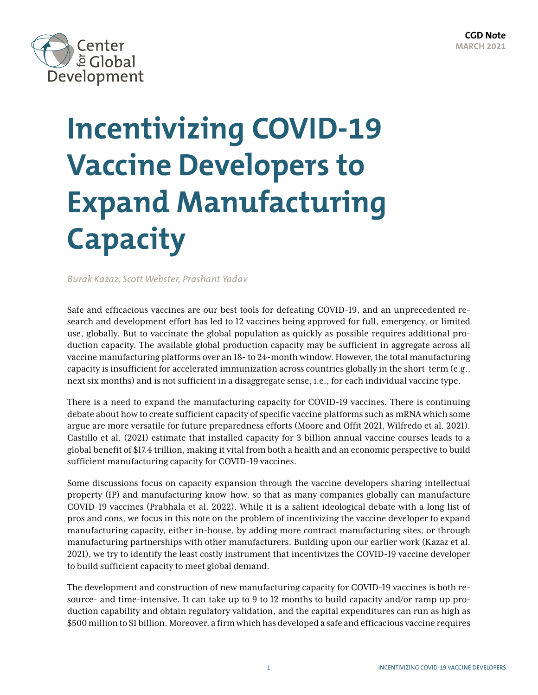

# **Incentivizing COVID-19 Vaccine Developers to Expand Manufacturing Capacity**

*Burak Kazaz, Scott Webster, Prashant Yadav*

Safe and efficacious vaccines are our best tools for defeating COVID-19, and an unprecedented research and development effort has led to 12 vaccines being approved for full, emergency, or limited use, globally. But to vaccinate the global population as quickly as possible requires additional production capacity. The available global production capacity may be sufficient in aggregate across all vaccine manufacturing platforms over an 18- to 24-month window. However, the total manufacturing capacity is insufficient for accelerated immunization across countries globally in the short-term (e.g., next six months) and is not sufficient in a disaggregate sense, i.e., for each individual vaccine type.

There is a need to expand the manufacturing capacity for COVID-19 vaccines. There is continuing debate about how to create sufficient capacity of specific vaccine platforms such as mRNA which some argue are more versatile for future preparedness efforts (Moore and Offit 2021, Wilfredo et al. 2021). Castillo et al. (2021) estimate that installed capacity for 3 billion annual vaccine courses leads to a global benefit of \$17.4 trillion, making it vital from both a health and an economic perspective to build sufficient manufacturing capacity for COVID-19 vaccines.

Some discussions focus on capacity expansion through the vaccine developers sharing intellectual property (IP) and manufacturing know-how, so that as many companies globally can manufacture COVID-19 vaccines (Prabhala et al. 2022). While it is a salient ideological debate with a long list of pros and cons, we focus in this note on the problem of incentivizing the vaccine developer to expand manufacturing capacity, either in-house, by adding more contract manufacturing sites, or through manufacturing partnerships with other manufacturers. Building upon our earlier work (Kazaz et al. 2021), we try to identify the least costly instrument that incentivizes the COVID-19 vaccine developer to build sufficient capacity to meet global demand.

The development and construction of new manufacturing capacity for COVID-19 vaccines is both resource- and time-intensive. It can take up to 9 to 12 months to build capacity and/or ramp up production capability and obtain regulatory validation, and the capital expenditures can run as high as \$500 million to \$1 billion. Moreover, a firm which has developed a safe and efficacious vaccine requires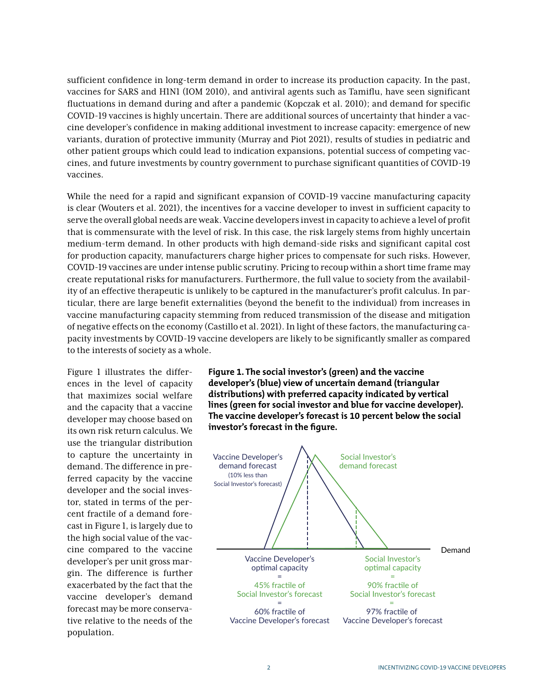sufficient confidence in long-term demand in order to increase its production capacity. In the past, vaccines for SARS and H1N1 (IOM 2010), and antiviral agents such as Tamiflu, have seen significant fluctuations in demand during and after a pandemic (Kopczak et al. 2010); and demand for specific COVID-19 vaccines is highly uncertain. There are additional sources of uncertainty that hinder a vaccine developer's confidence in making additional investment to increase capacity: emergence of new variants, duration of protective immunity (Murray and Piot 2021), results of studies in pediatric and other patient groups which could lead to indication expansions, potential success of competing vaccines, and future investments by country government to purchase significant quantities of COVID-19 vaccines.

While the need for a rapid and significant expansion of COVID-19 vaccine manufacturing capacity is clear (Wouters et al. 2021), the incentives for a vaccine developer to invest in sufficient capacity to serve the overall global needs are weak. Vaccine developers invest in capacity to achieve a level of profit that is commensurate with the level of risk. In this case, the risk largely stems from highly uncertain medium-term demand. In other products with high demand-side risks and significant capital cost for production capacity, manufacturers charge higher prices to compensate for such risks. However, COVID-19 vaccines are under intense public scrutiny. Pricing to recoup within a short time frame may create reputational risks for manufacturers. Furthermore, the full value to society from the availability of an effective therapeutic is unlikely to be captured in the manufacturer's profit calculus. In particular, there are large benefit externalities (beyond the benefit to the individual) from increases in vaccine manufacturing capacity stemming from reduced transmission of the disease and mitigation of negative effects on the economy (Castillo et al. 2021). In light of these factors, the manufacturing capacity investments by COVID-19 vaccine developers are likely to be significantly smaller as compared to the interests of society as a whole.

Figure 1 illustrates the differences in the level of capacity that maximizes social welfare and the capacity that a vaccine developer may choose based on its own risk return calculus. We use the triangular distribution to capture the uncertainty in demand. The difference in preferred capacity by the vaccine developer and the social investor, stated in terms of the percent fractile of a demand forecast in Figure 1, is largely due to the high social value of the vaccine compared to the vaccine developer's per unit gross margin. The difference is further exacerbated by the fact that the vaccine developer's demand forecast may be more conservative relative to the needs of the population.

**Figure 1. The social investor's (green) and the vaccine developer's (blue) view of uncertain demand (triangular distributions) with preferred capacity indicated by vertical lines (green for social investor and blue for vaccine developer). The vaccine developer's forecast is 10 percent below the social investor's forecast in the figure.**

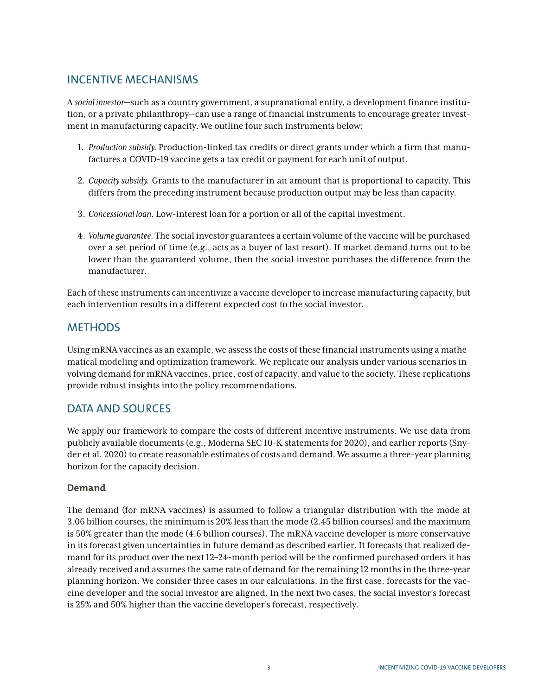## INCENTIVE MECHANISMS

A *social investor*—such as a country government, a supranational entity, a development finance institution, or a private philanthropy—can use a range of financial instruments to encourage greater investment in manufacturing capacity. We outline four such instruments below:

- 1. *Production subsidy.* Production-linked tax credits or direct grants under which a firm that manufactures a COVID-19 vaccine gets a tax credit or payment for each unit of output.
- 2. *Capacity subsidy.* Grants to the manufacturer in an amount that is proportional to capacity. This differs from the preceding instrument because production output may be less than capacity.
- 3. *Concessional loan.* Low-interest loan for a portion or all of the capital investment.
- 4. *Volume guarantee.* The social investor guarantees a certain volume of the vaccine will be purchased over a set period of time (e.g., acts as a buyer of last resort). If market demand turns out to be lower than the guaranteed volume, then the social investor purchases the difference from the manufacturer.

Each of these instruments can incentivize a vaccine developer to increase manufacturing capacity, but each intervention results in a different expected cost to the social investor.

## **METHODS**

Using mRNA vaccines as an example, we assess the costs of these financial instruments using a mathematical modeling and optimization framework. We replicate our analysis under various scenarios involving demand for mRNA vaccines, price, cost of capacity, and value to the society. These replications provide robust insights into the policy recommendations.

## DATA AND SOURCES

We apply our framework to compare the costs of different incentive instruments. We use data from publicly available documents (e.g., Moderna SEC 10-K statements for 2020), and earlier reports (Snyder et al. 2020) to create reasonable estimates of costs and demand. We assume a three-year planning horizon for the capacity decision.

### **Demand**

The demand (for mRNA vaccines) is assumed to follow a triangular distribution with the mode at 3.06 billion courses, the minimum is 20% less than the mode (2.45 billion courses) and the maximum is 50% greater than the mode (4.6 billion courses). The mRNA vaccine developer is more conservative in its forecast given uncertainties in future demand as described earlier. It forecasts that realized demand for its product over the next 12–24-month period will be the confirmed purchased orders it has already received and assumes the same rate of demand for the remaining 12 months in the three-year planning horizon. We consider three cases in our calculations. In the first case, forecasts for the vaccine developer and the social investor are aligned. In the next two cases, the social investor's forecast is 25% and 50% higher than the vaccine developer's forecast, respectively.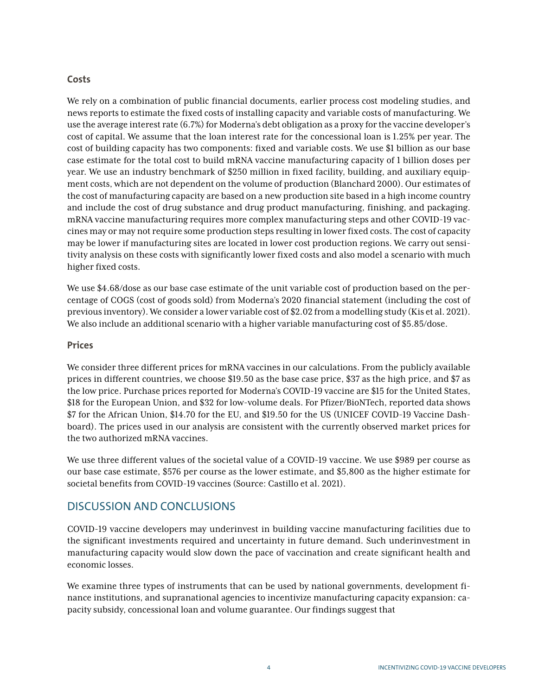#### **Costs**

We rely on a combination of public financial documents, earlier process cost modeling studies, and news reports to estimate the fixed costs of installing capacity and variable costs of manufacturing. We use the average interest rate (6.7%) for Moderna's debt obligation as a proxy for the vaccine developer's cost of capital. We assume that the loan interest rate for the concessional loan is 1.25% per year. The cost of building capacity has two components: fixed and variable costs. We use \$1 billion as our base case estimate for the total cost to build mRNA vaccine manufacturing capacity of 1 billion doses per year. We use an industry benchmark of \$250 million in fixed facility, building, and auxiliary equipment costs, which are not dependent on the volume of production (Blanchard 2000). Our estimates of the cost of manufacturing capacity are based on a new production site based in a high income country and include the cost of drug substance and drug product manufacturing, finishing, and packaging. mRNA vaccine manufacturing requires more complex manufacturing steps and other COVID-19 vaccines may or may not require some production steps resulting in lower fixed costs. The cost of capacity may be lower if manufacturing sites are located in lower cost production regions. We carry out sensitivity analysis on these costs with significantly lower fixed costs and also model a scenario with much higher fixed costs.

We use \$4.68/dose as our base case estimate of the unit variable cost of production based on the percentage of COGS (cost of goods sold) from Moderna's 2020 financial statement (including the cost of previous inventory). We consider a lower variable cost of \$2.02 from a modelling study (Kis et al. 2021). We also include an additional scenario with a higher variable manufacturing cost of \$5.85/dose.

#### **Prices**

We consider three different prices for mRNA vaccines in our calculations. From the publicly available prices in different countries, we choose \$19.50 as the base case price, \$37 as the high price, and \$7 as the low price. Purchase prices reported for Moderna's COVID-19 vaccine are \$15 for the United States, \$18 for the European Union, and \$32 for low-volume deals. For Pfizer/BioNTech, reported data shows \$7 for the African Union, \$14.70 for the EU, and \$19.50 for the US (UNICEF COVID-19 Vaccine Dashboard). The prices used in our analysis are consistent with the currently observed market prices for the two authorized mRNA vaccines.

We use three different values of the societal value of a COVID-19 vaccine. We use \$989 per course as our base case estimate, \$576 per course as the lower estimate, and \$5,800 as the higher estimate for societal benefits from COVID-19 vaccines (Source: Castillo et al. 2021).

## DISCUSSION AND CONCLUSIONS

COVID-19 vaccine developers may underinvest in building vaccine manufacturing facilities due to the significant investments required and uncertainty in future demand. Such underinvestment in manufacturing capacity would slow down the pace of vaccination and create significant health and economic losses.

We examine three types of instruments that can be used by national governments, development finance institutions, and supranational agencies to incentivize manufacturing capacity expansion: capacity subsidy, concessional loan and volume guarantee. Our findings suggest that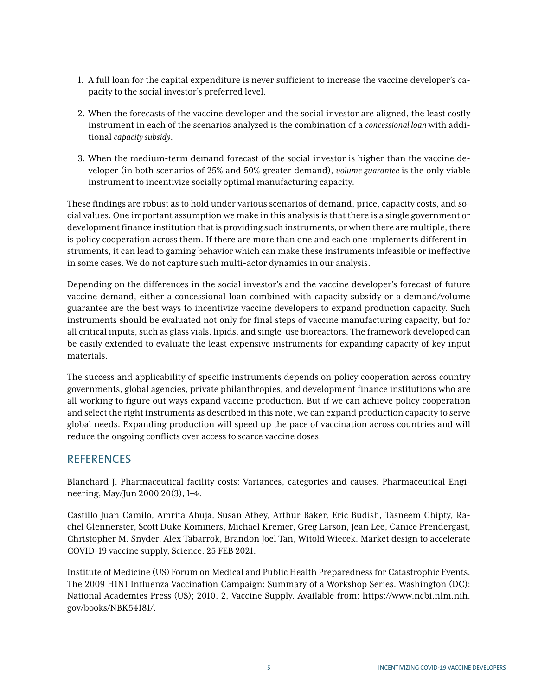- 1. A full loan for the capital expenditure is never sufficient to increase the vaccine developer's capacity to the social investor's preferred level.
- 2. When the forecasts of the vaccine developer and the social investor are aligned, the least costly instrument in each of the scenarios analyzed is the combination of a *concessional loan* with additional *capacity subsidy*.
- 3. When the medium-term demand forecast of the social investor is higher than the vaccine developer (in both scenarios of 25% and 50% greater demand), *volume guarantee* is the only viable instrument to incentivize socially optimal manufacturing capacity.

These findings are robust as to hold under various scenarios of demand, price, capacity costs, and social values. One important assumption we make in this analysis is that there is a single government or development finance institution that is providing such instruments, or when there are multiple, there is policy cooperation across them. If there are more than one and each one implements different instruments, it can lead to gaming behavior which can make these instruments infeasible or ineffective in some cases. We do not capture such multi-actor dynamics in our analysis.

Depending on the differences in the social investor's and the vaccine developer's forecast of future vaccine demand, either a concessional loan combined with capacity subsidy or a demand/volume guarantee are the best ways to incentivize vaccine developers to expand production capacity. Such instruments should be evaluated not only for final steps of vaccine manufacturing capacity, but for all critical inputs, such as glass vials, lipids, and single-use bioreactors. The framework developed can be easily extended to evaluate the least expensive instruments for expanding capacity of key input materials.

The success and applicability of specific instruments depends on policy cooperation across country governments, global agencies, private philanthropies, and development finance institutions who are all working to figure out ways expand vaccine production. But if we can achieve policy cooperation and select the right instruments as described in this note, we can expand production capacity to serve global needs. Expanding production will speed up the pace of vaccination across countries and will reduce the ongoing conflicts over access to scarce vaccine doses.

## **REFERENCES**

Blanchard J. Pharmaceutical facility costs: Variances, categories and causes. Pharmaceutical Engineering, May/Jun 2000 20(3), 1–4.

Castillo Juan Camilo, Amrita Ahuja, Susan Athey, Arthur Baker, Eric Budish, Tasneem Chipty, Rachel Glennerster, Scott Duke Kominers, Michael Kremer, Greg Larson, Jean Lee, Canice Prendergast, Christopher M. Snyder, Alex Tabarrok, Brandon Joel Tan, Witold Wiecek. Market design to accelerate COVID-19 vaccine supply, Science. 25 FEB 2021.

Institute of Medicine (US) Forum on Medical and Public Health Preparedness for Catastrophic Events. The 2009 H1N1 Influenza Vaccination Campaign: Summary of a Workshop Series. Washington (DC): National Academies Press (US); 2010. 2, Vaccine Supply. Available from: [https://www.ncbi.nlm.nih.](https://www.ncbi.nlm.nih.gov/books/NBK54181/) [gov/books/NBK54181/.](https://www.ncbi.nlm.nih.gov/books/NBK54181/)